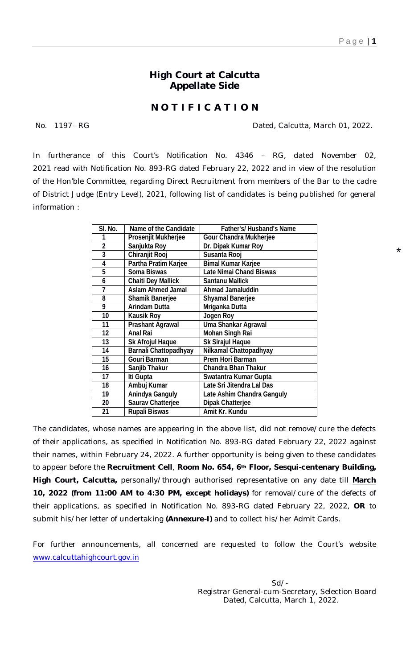\*

## **High Court at Calcutta Appellate Side**

## **N O T I F I C A T I O N**

No. 1197–RG **Dated, Calcutta, March 01, 2022.** 

In furtherance of this Court's Notification No. 4346 – RG, dated November 02, 2021 read with Notification No. 893-RG dated February 22, 2022 and in view of the resolution of the Hon'ble Committee, regarding Direct Recruitment from members of the Bar to the cadre of District Judge (Entry Level), 2021, following list of candidates is being published for general information :

| SI. No.        | <b>Name of the Candidate</b> | <b>Father's/Husband's Name</b>    |
|----------------|------------------------------|-----------------------------------|
| 1              | <b>Prosenjit Mukherjee</b>   | <b>Gour Chandra Mukherjee</b>     |
| $\overline{2}$ | Sanjukta Roy                 | Dr. Dipak Kumar Roy               |
| 3              | <b>Chiranjit Rooj</b>        | Susanta Rooj                      |
| 4              | Partha Pratim Karjee         | <b>Bimal Kumar Karjee</b>         |
| 5              | <b>Soma Biswas</b>           | <b>Late Nimai Chand Biswas</b>    |
| 6              | <b>Chaiti Dey Mallick</b>    | <b>Santanu Mallick</b>            |
| 7              | <b>Aslam Ahmed Jamal</b>     | <b>Ahmad Jamaluddin</b>           |
| 8              | <b>Shamik Banerjee</b>       | <b>Shyamal Banerjee</b>           |
| 9              | <b>Arindam Dutta</b>         | Mriganka Dutta                    |
| 10             | <b>Kausik Roy</b>            | <b>Jogen Roy</b>                  |
| 11             | <b>Prashant Agrawal</b>      | <b>Uma Shankar Agrawal</b>        |
| 12             | <b>Anal Rai</b>              | <b>Mohan Singh Rai</b>            |
| 13             | <b>Sk Afrojul Haque</b>      | <b>Sk Sirajul Haque</b>           |
| 14             | <b>Barnali Chattopadhyay</b> | Nilkamal Chattopadhyay            |
| 15             | <b>Gouri Barman</b>          | <b>Prem Hori Barman</b>           |
| 16             | Sanjib Thakur                | <b>Chandra Bhan Thakur</b>        |
| 17             | Iti Gupta                    | Swatantra Kumar Gupta             |
| 18             | Ambuj Kumar                  | Late Sri Jitendra Lal Das         |
| 19             | <b>Anindya Ganguly</b>       | <b>Late Ashim Chandra Ganguly</b> |
| 20             | <b>Saurav Chatterjee</b>     | <b>Dipak Chatterjee</b>           |
| 21             | <b>Rupali Biswas</b>         | Amit Kr. Kundu                    |

The candidates, whose names are appearing in the above list, did not remove/cure the defects of their applications, as specified in Notification No. 893-RG dated February 22, 2022 against their names, within February 24, 2022. A further opportunity is being given to these candidates to appear before the **Recruitment Cell**, **Room No. 654, 6th Floor, Sesqui-centenary Building, High Court, Calcutta,** personally/through authorised representative on any date till **March 10, 2022 (from 11:00 AM to 4:30 PM, except holidays)** for removal/cure of the defects of their applications, as specified in Notification No. 893-RG dated February 22, 2022, **OR** to submit his/her letter of undertaking **(Annexure-I)** and to collect his/her Admit Cards.

For further announcements, all concerned are requested to follow the Court's website [www.calcuttahighcourt.gov.in](http://www.calcuttahighcourt.gov.in)